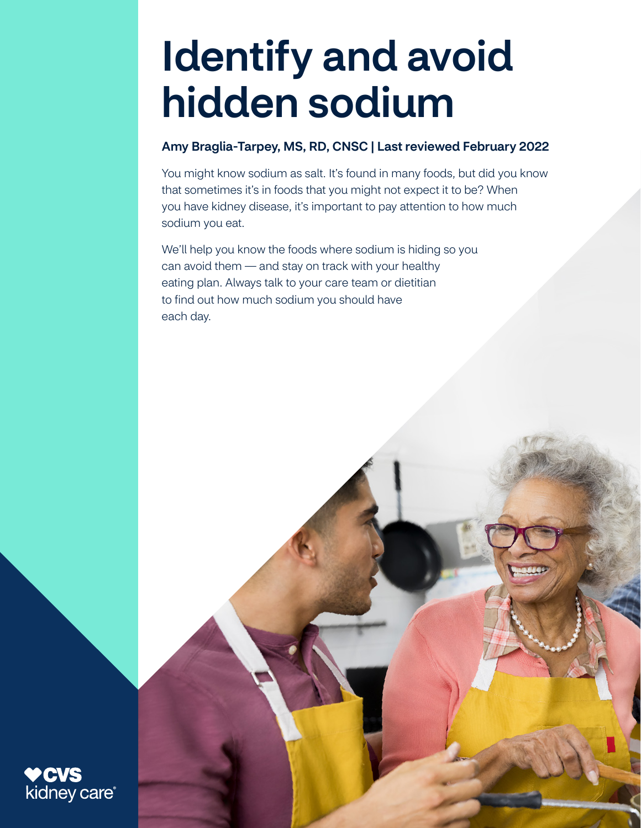# Identify and avoid hidden sodium

## Amy Braglia-Tarpey, MS, RD, CNSC | Last reviewed February 2022

You might know sodium as salt. It's found in many foods, but did you know that sometimes it's in foods that you might not expect it to be? When you have kidney disease, it's important to pay attention to how much sodium you eat.

We'll help you know the foods where sodium is hiding so you can avoid them — and stay on track with your healthy eating plan. Always talk to your care team or dietitian to find out how much sodium you should have each day.

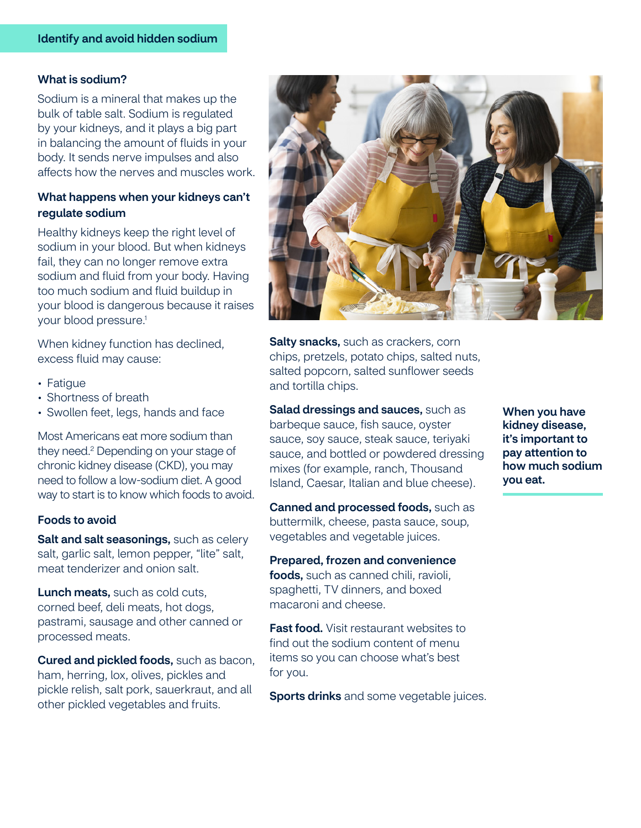#### What is sodium?

Sodium is a mineral that makes up the bulk of table salt. Sodium is regulated by your kidneys, and it plays a big part in balancing the amount of fluids in your body. It sends nerve impulses and also affects how the nerves and muscles work.

### What happens when your kidneys can't regulate sodium

Healthy kidneys keep the right level of sodium in your blood. But when kidneys fail, they can no longer remove extra sodium and fluid from your body. Having too much sodium and fluid buildup in your blood is dangerous because it raises your blood pressure.<sup>1</sup>

When kidney function has declined, excess fluid may cause:

- Fatigue
- Shortness of breath
- Swollen feet, legs, hands and face

Most Americans eat more sodium than they need.2 Depending on your stage of chronic kidney disease (CKD), you may need to follow a low-sodium diet. A good way to start is to know which foods to avoid.

#### **Foods to avoid**

 meat tenderizer and onion salt.Salt and salt seasonings, such as celery salt, garlic salt, lemon pepper, "lite" salt,

Lunch meats, such as cold cuts, corned beef, deli meats, hot dogs, pastrami, sausage and other canned or processed meats.

Cured and pickled foods, such as bacon, ham, herring, lox, olives, pickles and pickle relish, salt pork, sauerkraut, and all other pickled vegetables and fruits.



Salty snacks, such as crackers, corn chips, pretzels, potato chips, salted nuts, salted popcorn, salted sunflower seeds and tortilla chips.

Salad dressings and sauces, such as barbeque sauce, fish sauce, oyster sauce, soy sauce, steak sauce, teriyaki sauce, and bottled or powdered dressing mixes (for example, ranch, Thousand Island, Caesar, Italian and blue cheese).

Canned and processed foods, such as buttermilk, cheese, pasta sauce, soup, vegetables and vegetable juices.

#### Prepared, frozen and convenience

foods, such as canned chili, ravioli, spaghetti, TV dinners, and boxed macaroni and cheese.

**Fast food.** Visit restaurant websites to find out the sodium content of menu items so you can choose what's best for you.

**Sports drinks** and some vegetable juices.

When you have kidney disease, it's important to pay attention to how much sodium you eat.